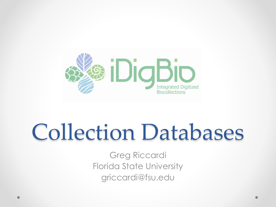

# Collection Databases

Greg Riccardi Florida State University griccardi@fsu.edu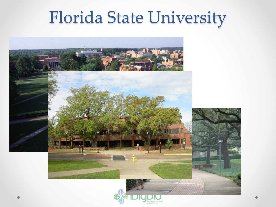## Florida State University

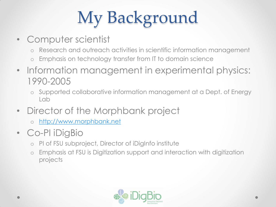# My Background

- Computer scientist
	- o Research and outreach activities in scientific information management
	- o Emphasis on technology transfer from IT to domain science
- Information management in experimental physics: 1990-2005
	- o Supported collaborative information management at a Dept. of Energy Lab
- Director of the Morphbank project
	- o [http://www.morphbank.net](http://www.morphbank.net/)
- Co-PI iDigBio
	- o PI of FSU subproject, Director of iDigInfo institute
	- o Emphasis at FSU is Digitization support and interaction with digitization projects

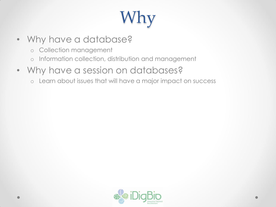# Why

- Why have a database?
	- o Collection management
	- o Information collection, distribution and management
- Why have a session on databases?
	- o Learn about issues that will have a major impact on success

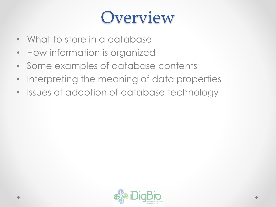### **Overview**

- What to store in a database
- How information is organized
- Some examples of database contents
- Interpreting the meaning of data properties
- Issues of adoption of database technology

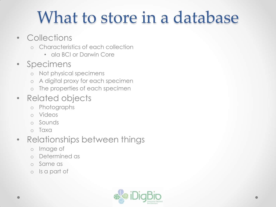## What to store in a database

- Collections
	- o Characteristics of each collection
		- ala BCI or Darwin Core
- Specimens
	- o Not physical specimens
	- o A digital proxy for each specimen
	- o The properties of each specimen

#### • Related objects

- o Photographs
- o Videos
- o Sounds
- o Taxa

#### • Relationships between things

- o Image of
- o Determined as
- o Same as
- o Is a part of

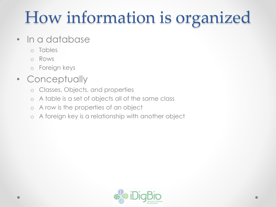## How information is organized

- In a database
	- o Tables
	- o Rows
	- o Foreign keys

#### • Conceptually

- o Classes, Objects, and properties
- o A table is a set of objects all of the same class
- o A row is the properties of an object
- o A foreign key is a relationship with another object

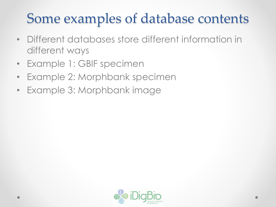#### Some examples of database contents

- Different databases store different information in different ways
- Example 1: GBIF specimen
- Example 2: Morphbank specimen
- Example 3: Morphbank image

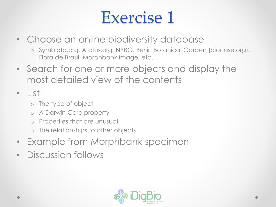### Exercise 1

- Choose an online biodiversity database
	- o Symbiota.org, Arctos.org, NYBG, Berlin Botanical Garden (biocase.org), Flora de Brasil, Morphbank image, etc.
- Search for one or more objects and display the most detailed view of the contents
- List
	- o The type of object
	- o A Darwin Core property
	- o Properties that are unusual
	- o The relationships to other objects
- Example from Morphbank specimen
- Discussion follows

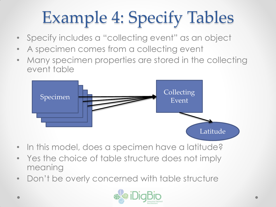# Example 4: Specify Tables

- Specify includes a "collecting event" as an object
- A specimen comes from a collecting event
- Many specimen properties are stored in the collecting event table



- In this model, does a specimen have a latitude?
- Yes the choice of table structure does not imply meaning
- Don't be overly concerned with table structure

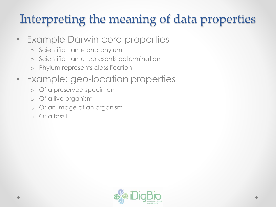#### Interpreting the meaning of data properties

- Example Darwin core properties
	- o Scientific name and phylum
	- o Scientific name represents determination
	- o Phylum represents classification
- Example: geo-location properties
	- o Of a preserved specimen
	- o Of a live organism
	- o Of an image of an organism
	- o Of a fossil

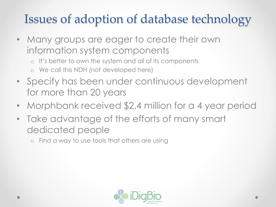#### Issues of adoption of database technology

- Many groups are eager to create their own information system components
	- o It's better to own the system and all of its components
	- o We call this NDH (not developed here)
- Specify has been under continuous development for more than 20 years
- Morphbank received \$2.4 million for a 4 year period
- Take advantage of the efforts of many smart dedicated people
	- o Find a way to use tools that others are using